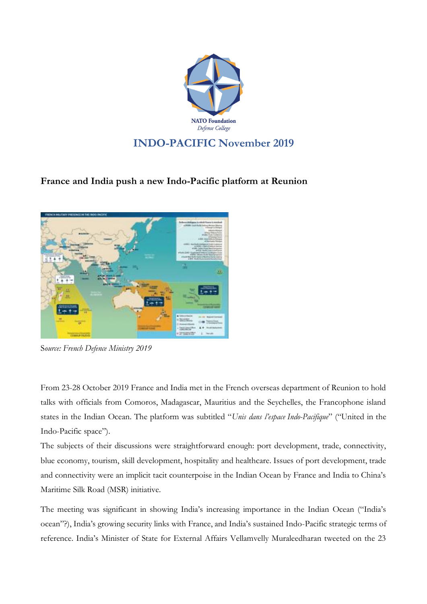

## **INDO-PACIFIC November 2019**

## **France and India push a new Indo-Pacific platform at Reunion**



S*ource: French Defence Ministry 2019*

From 23-28 October 2019 France and India met in the French overseas department of Reunion to hold talks with officials from Comoros, Madagascar, Mauritius and the Seychelles, the Francophone island states in the Indian Ocean. The platform was subtitled "*Unis dans l'espace Indo-Pacifique*" ("United in the Indo-Pacific space").

The subjects of their discussions were straightforward enough: port development, trade, connectivity, blue economy, tourism, skill development, hospitality and healthcare. Issues of port development, trade and connectivity were an implicit tacit counterpoise in the Indian Ocean by France and India to China's Maritime Silk Road (MSR) initiative.

The meeting was significant in showing India's increasing importance in the Indian Ocean ("India's ocean"?), India's growing security links with France, and India's sustained Indo-Pacific strategic terms of reference. India's Minister of State for External Affairs Vellamvelly Muraleedharan tweeted on the 23